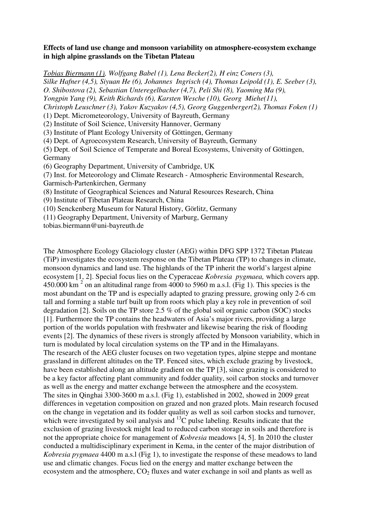## **Effects of land use change and monsoon variability on atmosphere-ecosystem exchange in high alpine grasslands on the Tibetan Plateau**

*Tobias Biermann (1), Wolfgang Babel (1), Lena Becker(2), H einz Coners (3), Silke Hafner (4,5), Siyuan He (6), Johannes Ingrisch (4), Thomas Leipold (1), E. Seeber (3), O. Shibostova (2), Sebastian Unteregelbacher (4,7), Peli Shi (8), Yaoming Ma (9), Yongpin Yang (9), Keith Richards (6), Karsten Wesche (10), Georg Miehe(11), Christoph Leuschner (3), Yakov Kuzyakov (4,5), Georg Guggenberger(2), Thomas Foken (1)*  (1) Dept. Micrometeorology, University of Bayreuth, Germany (2) Institute of Soil Science, University Hannover, Germany (3) Institute of Plant Ecology University of Göttingen, Germany (4) Dept. of Agroecosystem Research, University of Bayreuth, Germany (5) Dept. of Soil Science of Temperate and Boreal Ecosystems, University of Göttingen, Germany (6) Geography Department, University of Cambridge, UK (7) Inst. for Meteorology and Climate Research - Atmospheric Environmental Research, Garmisch-Partenkirchen, Germany (8) Institute of Geographical Sciences and Natural Resources Research, China

(9) Institute of Tibetan Plateau Research, China

(10) Senckenberg Museum for Natural History, Görlitz, Germany

(11) Geography Department, University of Marburg, Germany

tobias.biermann@uni-bayreuth.de

The Atmosphere Ecology Glaciology cluster (AEG) within DFG SPP 1372 Tibetan Plateau (TiP) investigates the ecosystem response on the Tibetan Plateau (TP) to changes in climate, monsoon dynamics and land use. The highlands of the TP inherit the world's largest alpine ecosystem [1, 2]. Special focus lies on the Cyperaceae *Kobresia pygmaea,* which covers app. 450.000 km<sup>2</sup> on an altitudinal range from 4000 to 5960 m a.s.l. (Fig 1). This species is the most abundant on the TP and is especially adapted to grazing pressure, growing only 2-6 cm tall and forming a stable turf built up from roots which play a key role in prevention of soil degradation [2]. Soils on the TP store 2.5 % of the global soil organic carbon (SOC) stocks [1]. Furthermore the TP contains the headwaters of Asia's major rivers, providing a large portion of the worlds population with freshwater and likewise bearing the risk of flooding events [2]. The dynamics of these rivers is strongly affected by Monsoon variability, which in turn is modulated by local circulation systems on the TP and in the Himalayans. The research of the AEG cluster focuses on two vegetation types, alpine steppe and montane grassland in different altitudes on the TP. Fenced sites, which exclude grazing by livestock, have been established along an altitude gradient on the TP [3], since grazing is considered to be a key factor affecting plant community and fodder quality, soil carbon stocks and turnover as well as the energy and matter exchange between the atmosphere and the ecosystem. The sites in Qinghai 3300-3600 m a.s.l. (Fig 1), established in 2002, showed in 2009 great differences in vegetation composition on grazed and non grazed plots. Main research focused on the change in vegetation and its fodder quality as well as soil carbon stocks and turnover, which were investigated by soil analysis and <sup>13</sup>C pulse labeling. Results indicate that the exclusion of grazing livestock might lead to reduced carbon storage in soils and therefore is not the appropriate choice for management of *Kobresia* meadows [4, 5]. In 2010 the cluster conducted a multidisciplinary experiment in Kema, in the center of the major distribution of *Kobresia pygmaea* 4400 m a.s.l (Fig 1), to investigate the response of these meadows to land use and climatic changes. Focus lied on the energy and matter exchange between the ecosystem and the atmosphere,  $CO<sub>2</sub>$  fluxes and water exchange in soil and plants as well as